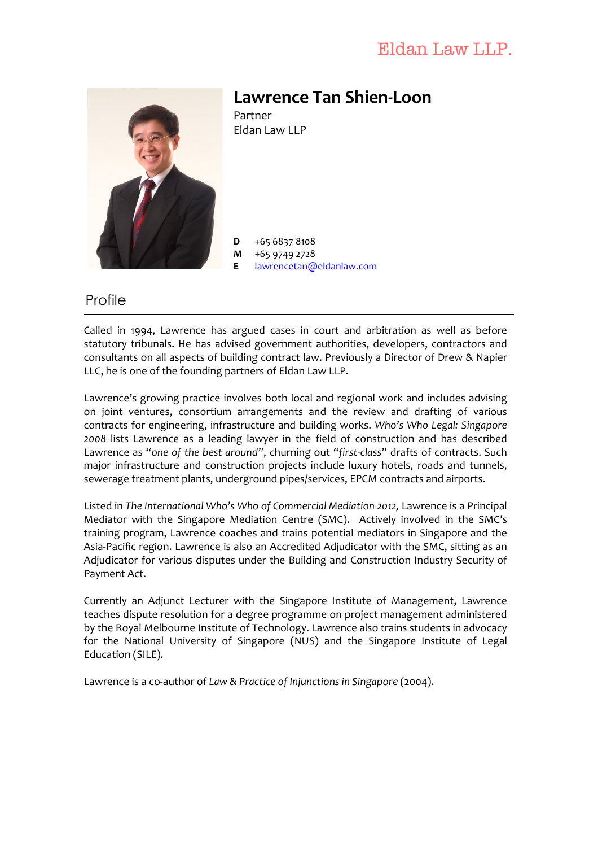## Eldan Law LLP.



## **Lawrence Tan Shien-Loon**

Partner Eldan Law LLP

 $D +6568378108$ 

**M** +65 9749 2728

**E** lawrencetan@eldanlaw.com

#### **Profile**

Called in 1994, Lawrence has argued cases in court and arbitration as well as before statutory tribunals. He has advised government authorities, developers, contractors and consultants on all aspects of building contract law. Previously a Director of Drew & Napier LLC, he is one of the founding partners of Eldan Law LLP.

Lawrence's growing practice involves both local and regional work and includes advising on joint ventures, consortium arrangements and the review and drafting of various contracts for engineering, infrastructure and building works. Who's Who Legal: Singapore 2008 lists Lawrence as a leading lawyer in the field of construction and has described Lawrence as "one of the best around", churning out "first-class" drafts of contracts. Such major infrastructure and construction projects include luxury hotels, roads and tunnels, sewerage treatment plants, underground pipes/services, EPCM contracts and airports.

Listed in The International Who's Who of Commercial Mediation 2012, Lawrence is a Principal Mediator with the Singapore Mediation Centre (SMC). Actively involved in the SMC's training program, Lawrence coaches and trains potential mediators in Singapore and the Asia-Pacific region. Lawrence is also an Accredited Adjudicator with the SMC, sitting as an Adjudicator for various disputes under the Building and Construction Industry Security of Payment Act.

Currently an Adjunct Lecturer with the Singapore Institute of Management, Lawrence teaches dispute resolution for a degree programme on project management administered by the Royal Melbourne Institute of Technology. Lawrence also trains students in advocacy for the National University of Singapore (NUS) and the Singapore Institute of Legal Education (SILE).

Lawrence is a co-author of *Law & Practice of Injunctions in Singapore* (2004).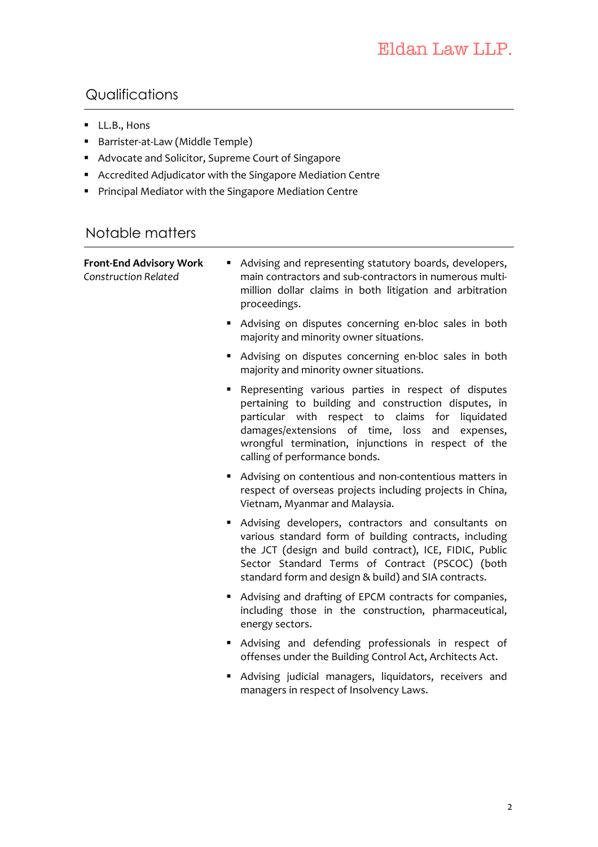## Qualifications

- **LL.B., Hons**
- **Barrister-at-Law** (Middle Temple)
- Advocate and Solicitor, Supreme Court of Singapore
- **Accredited Adjudicator with the Singapore Mediation Centre**
- **Principal Mediator with the Singapore Mediation Centre**

#### Notable matters

| <b>Front-End Advisory Work</b><br>٠<br><b>Construction Related</b> | Advising and representing statutory boards, developers,<br>main contractors and sub-contractors in numerous multi-<br>million dollar claims in both litigation and arbitration<br>proceedings.                                                                                                               |
|--------------------------------------------------------------------|--------------------------------------------------------------------------------------------------------------------------------------------------------------------------------------------------------------------------------------------------------------------------------------------------------------|
|                                                                    | Advising on disputes concerning en-bloc sales in both<br>majority and minority owner situations.                                                                                                                                                                                                             |
|                                                                    | Advising on disputes concerning en-bloc sales in both<br>majority and minority owner situations.                                                                                                                                                                                                             |
| ٠                                                                  | Representing various parties in respect of disputes<br>pertaining to building and construction disputes, in<br>particular with respect to claims for liquidated<br>damages/extensions of time, loss and<br>expenses,<br>wrongful termination, injunctions in respect of the<br>calling of performance bonds. |
|                                                                    | Advising on contentious and non-contentious matters in<br>respect of overseas projects including projects in China,<br>Vietnam, Myanmar and Malaysia.                                                                                                                                                        |
|                                                                    | Advising developers, contractors and consultants on<br>various standard form of building contracts, including<br>the JCT (design and build contract), ICE, FIDIC, Public<br>Sector Standard Terms of Contract (PSCOC) (both<br>standard form and design & build) and SIA contracts.                          |
|                                                                    | Advising and drafting of EPCM contracts for companies,<br>including those in the construction, pharmaceutical,<br>energy sectors.                                                                                                                                                                            |
|                                                                    | Advising and defending professionals in respect of<br>offenses under the Building Control Act, Architects Act.                                                                                                                                                                                               |
|                                                                    | Advising judicial managers, liquidators, receivers and<br>managers in respect of Insolvency Laws.                                                                                                                                                                                                            |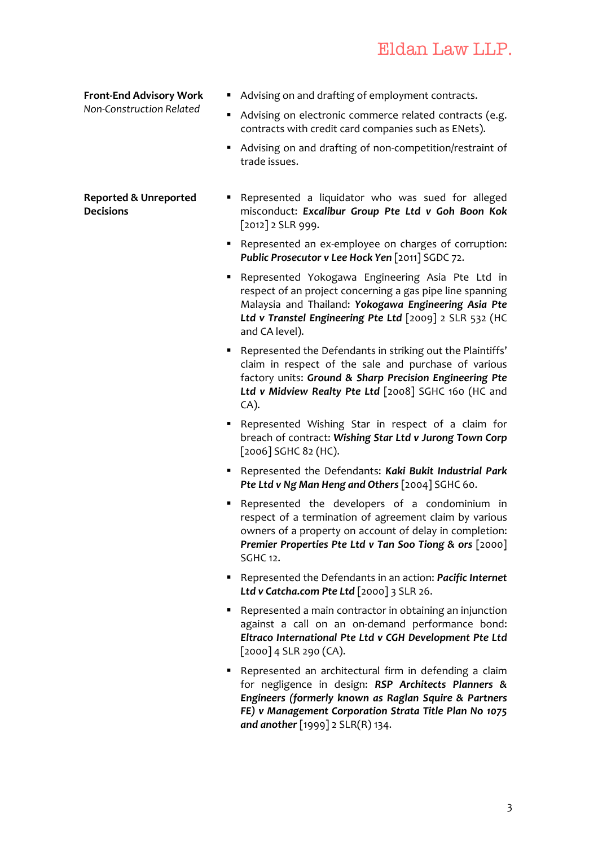# Eldan Law LLP.

**Front-End Advisory Work •** Advising on and drafting of employment contracts. *Non-Construction Related* **Advising on electronic commerce related contracts (e.g.**  $\cdot$ contracts with credit card companies such as ENets). Advising on and drafting of non-competition/restraint of trade issues. **Reported & Unreported Decisions E** Represented a liquidator who was sued for alleged misconduct: *Excalibur Group Pte Ltd v Goh Boon Kok* [2012] 2 SLR 999. ■ Represented an ex-employee on charges of corruption: **Public Prosecutor v Lee Hock Yen** [2011] SGDC 72. **-** Represented Yokogawa Engineering Asia Pte Ltd in respect of an project concerning a gas pipe line spanning Malaysia and Thailand: **Yokogawa Engineering Asia Pte** Ltd v Transtel Engineering Pte Ltd [2009] 2 SLR 532 (HC and CA level). Represented the Defendants in striking out the Plaintiffs' claim in respect of the sale and purchase of various factory units: Ground & Sharp Precision Engineering Pte Ltd v Midview Realty Pte Ltd [2008] SGHC 160 (HC and  $CA$ ). ■ Represented Wishing Star in respect of a claim for breach of contract: Wishing Star Ltd v Jurong Town Corp [2006] SGHC 82 (HC). **Represented the Defendants: Kaki Bukit Industrial Park Pte Ltd v Ng Man Heng and Others** [2004] SGHC 60. **E** Represented the developers of a condominium in respect of a termination of agreement claim by various owners of a property on account of delay in completion: **Premier Properties Pte Ltd v Tan Soo Tiong & ors** [2000] **SGHC** 12. **F** Represented the Defendants in an action: *Pacific Internet* Ltd v Catcha.com Pte Ltd [2000] 3 SLR 26. ■ Represented a main contractor in obtaining an injunction against a call on an on-demand performance bond: *Eltraco International Pte Ltd v CGH Development Pte Ltd*  $[2000]$  4 SLR 290 (CA).

■ Represented an architectural firm in defending a claim for negligence in design: RSP Architects Planners & Engineers (formerly known as Raglan Squire & Partners FE) v Management Corporation Strata Title Plan No 1075 *and another* [1999] 2 SLR(R) 134.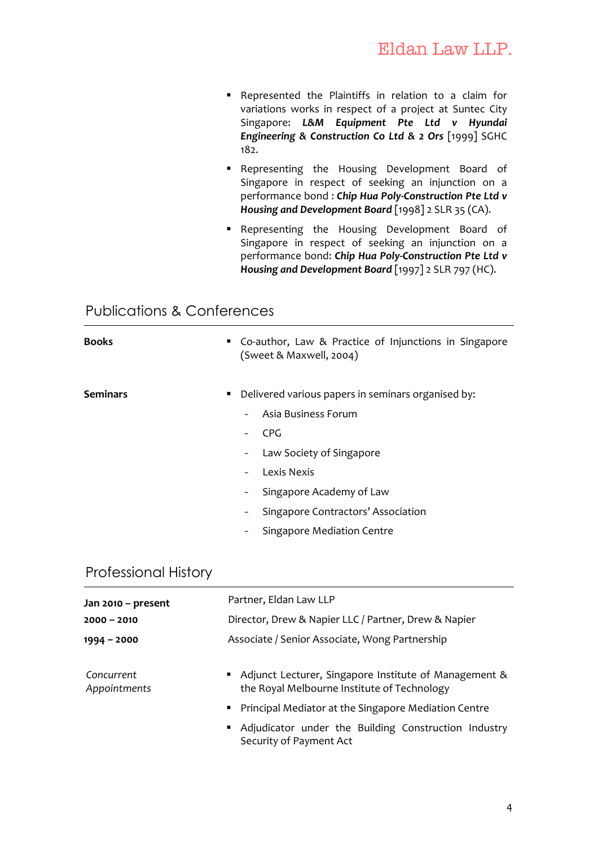- Represented the Plaintiffs in relation to a claim for variations works in respect of a project at Suntec City Singapore: L&M Equipment Pte Ltd v Hyundai **Engineering & Construction Co Ltd & 2 Ors** [1999] SGHC 182.
- **Representing the Housing Development Board of** Singapore in respect of seeking an injunction on a performance bond : Chip Hua Poly-Construction Pte Ltd v *Housing and Development Board* [1998] 2 SLR 35 (CA).
- **Representing the Housing Development Board of** Singapore in respect of seeking an injunction on a performance bond: Chip Hua Poly-Construction Pte Ltd v *Housing and Development Board* [1997] 2 SLR 797 (HC).

#### Publications & Conferences

| <b>Books</b>    | • Co-author, Law & Practice of Injunctions in Singapore<br>(Sweet & Maxwell, 2004)                                                                                                                                                                               |
|-----------------|------------------------------------------------------------------------------------------------------------------------------------------------------------------------------------------------------------------------------------------------------------------|
| <b>Seminars</b> | Delivered various papers in seminars organised by:<br>٠<br>Asia Business Forum<br><b>CPG</b><br>Law Society of Singapore<br>-<br>Lexis Nexis<br>-<br>Singapore Academy of Law<br>-<br>Singapore Contractors' Association<br>-<br>Singapore Mediation Centre<br>- |

#### Professional History

| Jan 2010 - present         | Partner, Eldan Law LLP                                                                                 |
|----------------------------|--------------------------------------------------------------------------------------------------------|
| $2000 - 2010$              | Director, Drew & Napier LLC / Partner, Drew & Napier                                                   |
| $1994 - 2000$              | Associate / Senior Associate, Wong Partnership                                                         |
| Concurrent<br>Appointments | • Adjunct Lecturer, Singapore Institute of Management &<br>the Royal Melbourne Institute of Technology |
|                            | • Principal Mediator at the Singapore Mediation Centre                                                 |
|                            | • Adjudicator under the Building Construction Industry<br>Security of Payment Act                      |